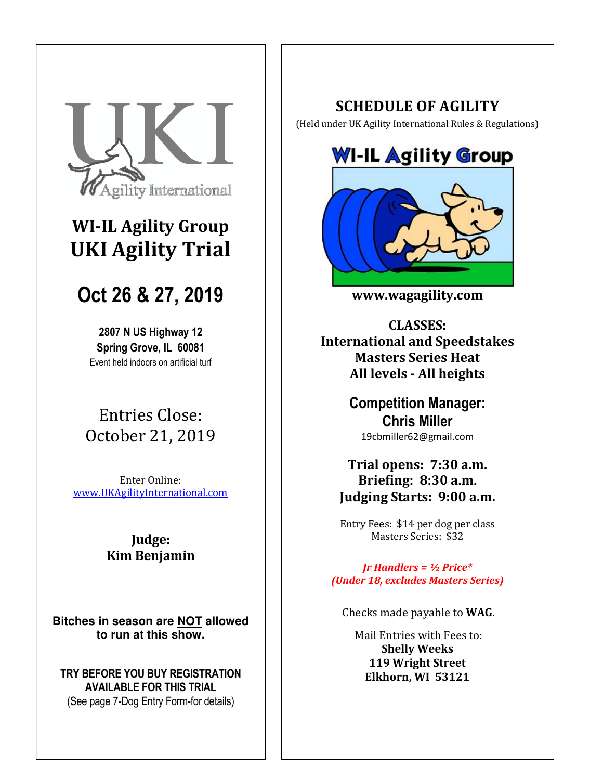

# **WI-IL Agility Group UKI Agility Trial**

# **Oct 26 & 27, 2019**

**2807 N US Highway 12 Spring Grove, IL 60081**  Event held indoors on artificial turf

# Entries Close: October 21, 2019

Enter Online: www.UKAgilityInternational.com

## **Judge: Kim Benjamin**

**Bitches in season are NOT allowed to run at this show.** 

**TRY BEFORE YOU BUY REGISTRATION AVAILABLE FOR THIS TRIAL**  (See page 7-Dog Entry Form-for details)

## **SCHEDULE OF AGILITY**

(Held under UK Agility International Rules & Regulations)





**www.wagagility.com** 

**CLASSES: International and Speedstakes Masters Series Heat All levels - All heights** 

> **Competition Manager: Chris Miller**  19cbmiller62@gmail.com

## **Trial opens: 7:30 a.m. Briefing: 8:30 a.m. Judging Starts: 9:00 a.m.**

Entry Fees: \$14 per dog per class Masters Series: \$32

*Jr Handlers = ½ Price\* (Under 18, excludes Masters Series)* 

Checks made payable to **WAG**.

 Mail Entries with Fees to: **Shelly Weeks 119 Wright Street Elkhorn, WI 53121**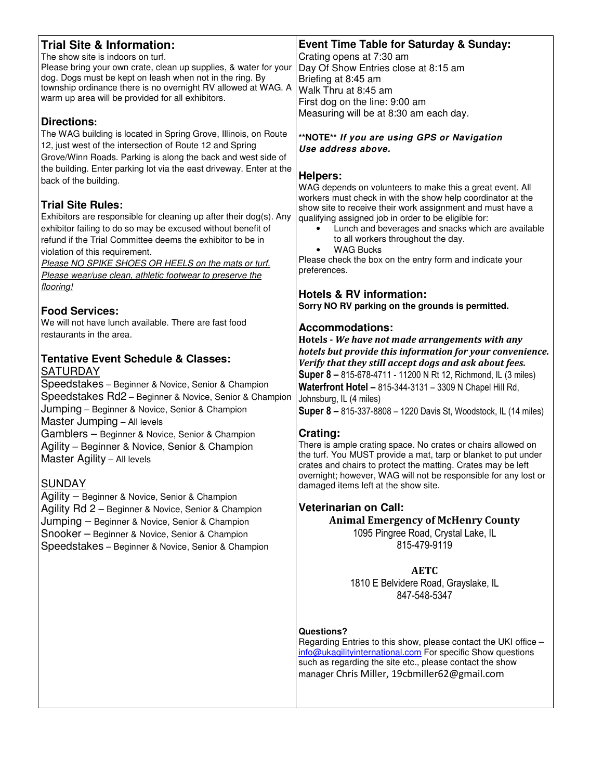| <b>Trial Site &amp; Information:</b><br>The show site is indoors on turf.<br>Please bring your own crate, clean up supplies, & water for your<br>dog. Dogs must be kept on leash when not in the ring. By<br>township ordinance there is no overnight RV allowed at WAG. A<br>warm up area will be provided for all exhibitors.<br><b>Directions:</b>                             | <b>Event Time Table for Saturday &amp; Sunday:</b><br>Crating opens at 7:30 am<br>Day Of Show Entries close at 8:15 am<br>Briefing at 8:45 am<br>Walk Thru at 8:45 am<br>First dog on the line: 9:00 am<br>Measuring will be at 8:30 am each day.                                                                                        |  |  |  |
|-----------------------------------------------------------------------------------------------------------------------------------------------------------------------------------------------------------------------------------------------------------------------------------------------------------------------------------------------------------------------------------|------------------------------------------------------------------------------------------------------------------------------------------------------------------------------------------------------------------------------------------------------------------------------------------------------------------------------------------|--|--|--|
| The WAG building is located in Spring Grove, Illinois, on Route<br>12, just west of the intersection of Route 12 and Spring<br>Grove/Winn Roads. Parking is along the back and west side of                                                                                                                                                                                       | **NOTE** If you are using GPS or Navigation<br>Use address above.                                                                                                                                                                                                                                                                        |  |  |  |
| the building. Enter parking lot via the east driveway. Enter at the<br>back of the building.                                                                                                                                                                                                                                                                                      | <b>Helpers:</b><br>WAG depends on volunteers to make this a great event. All<br>workers must check in with the show help coordinator at the                                                                                                                                                                                              |  |  |  |
| <b>Trial Site Rules:</b><br>Exhibitors are responsible for cleaning up after their dog(s). Any<br>exhibitor failing to do so may be excused without benefit of<br>refund if the Trial Committee deems the exhibitor to be in<br>violation of this requirement.<br>Please NO SPIKE SHOES OR HEELS on the mats or turf.<br>Please wear/use clean, athletic footwear to preserve the | show site to receive their work assignment and must have a<br>qualifying assigned job in order to be eligible for:<br>Lunch and beverages and snacks which are available<br>$\bullet$<br>to all workers throughout the day.<br><b>WAG Bucks</b><br>$\bullet$<br>Please check the box on the entry form and indicate your<br>preferences. |  |  |  |
| flooring!<br><b>Food Services:</b>                                                                                                                                                                                                                                                                                                                                                | <b>Hotels &amp; RV information:</b><br>Sorry NO RV parking on the grounds is permitted.                                                                                                                                                                                                                                                  |  |  |  |
| We will not have lunch available. There are fast food<br>restaurants in the area.                                                                                                                                                                                                                                                                                                 | <b>Accommodations:</b><br>Hotels - We have not made arrangements with any<br>hotels but provide this information for your convenience.                                                                                                                                                                                                   |  |  |  |
| <b>Tentative Event Schedule &amp; Classes:</b><br><b>SATURDAY</b><br>Speedstakes - Beginner & Novice, Senior & Champion<br>Speedstakes Rd2 - Beginner & Novice, Senior & Champion<br>Jumping - Beginner & Novice, Senior & Champion<br>Master Jumping - All levels                                                                                                                | Verify that they still accept dogs and ask about fees.<br><b>Super 8 - 815-678-4711 - 11200 N Rt 12, Richmond, IL (3 miles)</b><br>Waterfront Hotel - 815-344-3131 - 3309 N Chapel Hill Rd,<br>Johnsburg, IL (4 miles)<br>Super 8 - 815-337-8808 - 1220 Davis St, Woodstock, IL (14 miles)                                               |  |  |  |
| Gamblers - Beginner & Novice, Senior & Champion<br>Agility - Beginner & Novice, Senior & Champion<br>Master Agility - All levels<br><b>SUNDAY</b>                                                                                                                                                                                                                                 | Crating:<br>There is ample crating space. No crates or chairs allowed on<br>the turf. You MUST provide a mat, tarp or blanket to put under<br>crates and chairs to protect the matting. Crates may be left<br>overnight; however, WAG will not be responsible for any lost or<br>damaged items left at the show site.                    |  |  |  |
| Agility - Beginner & Novice, Senior & Champion<br>Agility Rd 2 - Beginner & Novice, Senior & Champion<br>Jumping - Beginner & Novice, Senior & Champion<br>Snooker - Beginner & Novice, Senior & Champion<br>Speedstakes - Beginner & Novice, Senior & Champion                                                                                                                   | <b>Veterinarian on Call:</b><br><b>Animal Emergency of McHenry County</b><br>1095 Pingree Road, Crystal Lake, IL<br>815-479-9119                                                                                                                                                                                                         |  |  |  |
|                                                                                                                                                                                                                                                                                                                                                                                   | <b>AETC</b><br>1810 E Belvidere Road, Grayslake, IL<br>847-548-5347                                                                                                                                                                                                                                                                      |  |  |  |
|                                                                                                                                                                                                                                                                                                                                                                                   | Questions?<br>Regarding Entries to this show, please contact the UKI office -<br>info@ukagilityinternational.com For specific Show questions<br>such as regarding the site etc., please contact the show<br>manager Chris Miller, 19cbmiller62@gmail.com                                                                                 |  |  |  |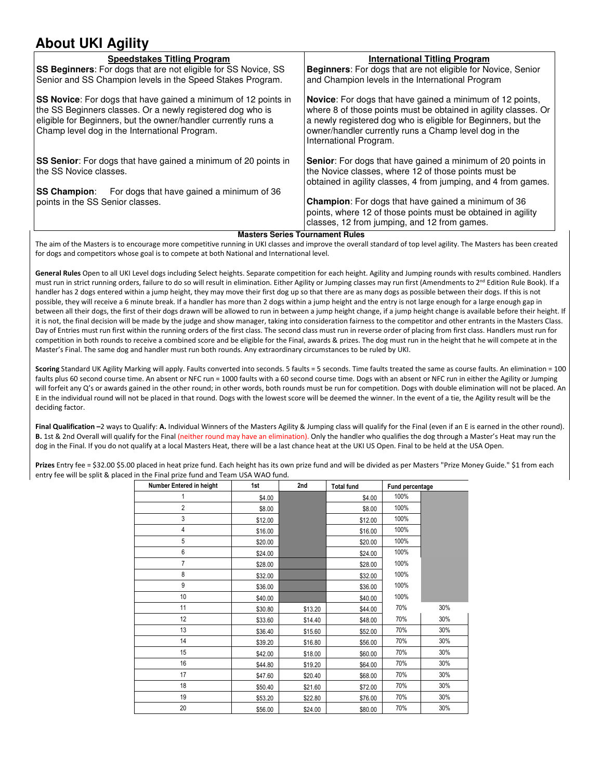# **About UKI Agility**

| <b>Speedstakes Titling Program</b>                                                                                                                                                                                                                     | International Titling Program                                                                                                                                                                                                                                                           |
|--------------------------------------------------------------------------------------------------------------------------------------------------------------------------------------------------------------------------------------------------------|-----------------------------------------------------------------------------------------------------------------------------------------------------------------------------------------------------------------------------------------------------------------------------------------|
| <b>SS Beginners:</b> For dogs that are not eligible for SS Novice, SS                                                                                                                                                                                  | <b>Beginners:</b> For dogs that are not eligible for Novice, Senior                                                                                                                                                                                                                     |
| Senior and SS Champion levels in the Speed Stakes Program.                                                                                                                                                                                             | and Champion levels in the International Program                                                                                                                                                                                                                                        |
| <b>SS Novice:</b> For dogs that have gained a minimum of 12 points in<br>the SS Beginners classes. Or a newly registered dog who is<br>eligible for Beginners, but the owner/handler currently runs a<br>Champ level dog in the International Program. | <b>Novice:</b> For dogs that have gained a minimum of 12 points,<br>where 8 of those points must be obtained in agility classes. Or<br>a newly registered dog who is eligible for Beginners, but the<br>owner/handler currently runs a Champ level dog in the<br>International Program. |
| <b>SS Senior:</b> For dogs that have gained a minimum of 20 points in<br>the SS Novice classes.                                                                                                                                                        | Senior: For dogs that have gained a minimum of 20 points in<br>the Novice classes, where 12 of those points must be<br>obtained in agility classes, 4 from jumping, and 4 from games.                                                                                                   |
| <b>SS Champion:</b> For dogs that have gained a minimum of 36                                                                                                                                                                                          |                                                                                                                                                                                                                                                                                         |
| points in the SS Senior classes.                                                                                                                                                                                                                       | <b>Champion:</b> For dogs that have gained a minimum of 36<br>points, where 12 of those points must be obtained in agility<br>classes, 12 from jumping, and 12 from games.                                                                                                              |

**Masters Series Tournament Rules** 

The aim of the Masters is to encourage more competitive running in UKI classes and improve the overall standard of top level agility. The Masters has been created for dogs and competitors whose goal is to compete at both National and International level.

**General Rules** Open to all UKI Level dogs including Select heights. Separate competition for each height. Agility and Jumping rounds with results combined. Handlers must run in strict running orders, failure to do so will result in elimination. Either Agility or Jumping classes may run first (Amendments to 2<sup>nd</sup> Edition Rule Book). If a handler has 2 dogs entered within a jump height, they may move their first dog up so that there are as many dogs as possible between their dogs. If this is not possible, they will receive a 6 minute break. If a handler has more than 2 dogs within a jump height and the entry is not large enough for a large enough gap in between all their dogs, the first of their dogs drawn will be allowed to run in between a jump height change, if a jump height change is available before their height. If it is not, the final decision will be made by the judge and show manager, taking into consideration fairness to the competitor and other entrants in the Masters Class. Day of Entries must run first within the running orders of the first class. The second class must run in reverse order of placing from first class. Handlers must run for competition in both rounds to receive a combined score and be eligible for the Final, awards & prizes. The dog must run in the height that he will compete at in the Master's Final. The same dog and handler must run both rounds. Any extraordinary circumstances to be ruled by UKI.

**Scoring** Standard UK Agility Marking will apply. Faults converted into seconds. 5 faults = 5 seconds. Time faults treated the same as course faults. An elimination = 100 faults plus 60 second course time. An absent or NFC run = 1000 faults with a 60 second course time. Dogs with an absent or NFC run in either the Agility or Jumping will forfeit any Q's or awards gained in the other round; in other words, both rounds must be run for competition. Dogs with double elimination will not be placed. An E in the individual round will not be placed in that round. Dogs with the lowest score will be deemed the winner. In the event of a tie, the Agility result will be the deciding factor.

**Final Qualification –**2 ways to Qualify: **A.** Individual Winners of the Masters Agility & Jumping class will qualify for the Final (even if an E is earned in the other round). **B.** 1st & 2nd Overall will qualify for the Final (neither round may have an elimination). Only the handler who qualifies the dog through a Master's Heat may run the dog in the Final. If you do not qualify at a local Masters Heat, there will be a last chance heat at the UKI US Open. Final to be held at the USA Open.

**Prizes** Entry fee = \$32.00 \$5.00 placed in heat prize fund. Each height has its own prize fund and will be divided as per Masters "Prize Money Guide." \$1 from each entry fee will be split & placed in the Final prize fund and Team USA WAO fund.

| Number Entered in height | 1st     | 2nd     | <b>Total fund</b> | Fund percentage |     |
|--------------------------|---------|---------|-------------------|-----------------|-----|
| 1                        | \$4.00  |         | \$4.00            | 100%            |     |
| $\overline{2}$           | \$8.00  |         | \$8.00            | 100%            |     |
| 3                        | \$12.00 |         | \$12.00           | 100%            |     |
| 4                        | \$16.00 |         | \$16.00           | 100%            |     |
| 5                        | \$20.00 |         | \$20.00           | 100%            |     |
| 6                        | \$24.00 |         | \$24.00           | 100%            |     |
| 7                        | \$28.00 |         | \$28.00           | 100%            |     |
| 8                        | \$32.00 |         | \$32.00           | 100%            |     |
| 9                        | \$36.00 |         | \$36.00           | 100%            |     |
| 10                       | \$40.00 |         | \$40.00           | 100%            |     |
| 11                       | \$30.80 | \$13.20 | \$44.00           | 70%             | 30% |
| 12                       | \$33.60 | \$14.40 | \$48.00           | 70%             | 30% |
| 13                       | \$36.40 | \$15.60 | \$52.00           | 70%             | 30% |
| 14                       | \$39.20 | \$16.80 | \$56.00           | 70%             | 30% |
| 15                       | \$42.00 | \$18.00 | \$60.00           | 70%             | 30% |
| 16                       | \$44.80 | \$19.20 | \$64.00           | 70%             | 30% |
| 17                       | \$47.60 | \$20.40 | \$68.00           | 70%             | 30% |
| 18                       | \$50.40 | \$21.60 | \$72.00           | 70%             | 30% |
| 19                       | \$53.20 | \$22.80 | \$76.00           | 70%             | 30% |
| 20                       | \$56.00 | \$24.00 | \$80.00           | 70%             | 30% |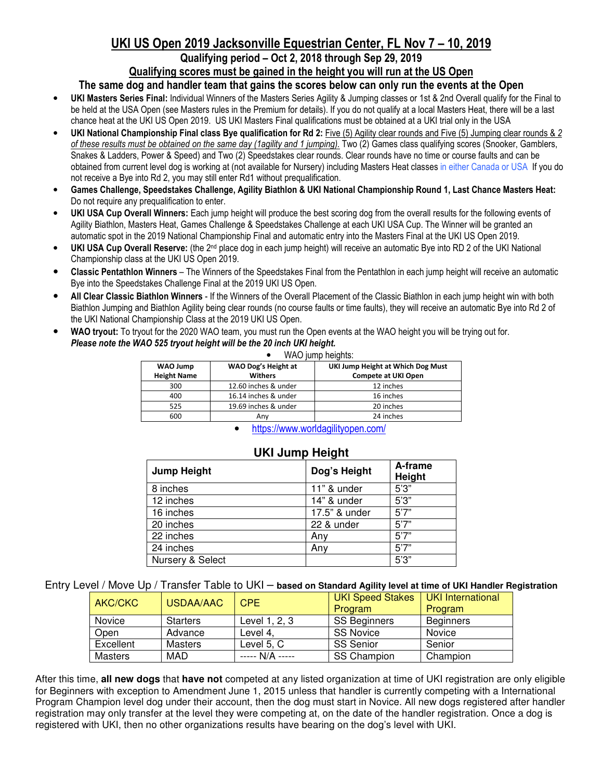# **UKI US Open 2019 Jacksonville Equestrian Center, FL Nov 7 – 10, 2019**

#### **Qualifying period – Oct 2, 2018 through Sep 29, 2019 Qualifying scores must be gained in the height you will run at the US Open**

#### **The same dog and handler team that gains the scores below can only run the events at the Open**

- **UKI Masters Series Final:** Individual Winners of the Masters Series Agility & Jumping classes or 1st & 2nd Overall qualify for the Final to be held at the USA Open (see Masters rules in the Premium for details). If you do not qualify at a local Masters Heat, there will be a last chance heat at the UKI US Open 2019. US UKI Masters Final qualifications must be obtained at a UKI trial only in the USA
- **UKI National Championship Final class Bye qualification for Rd 2:** Five (5) Agility clear rounds and Five (5) Jumping clear rounds & *2 of these results must be obtained on the same day (1agility and 1 jumping).* Two (2) Games class qualifying scores (Snooker, Gamblers, Snakes & Ladders, Power & Speed) and Two (2) Speedstakes clear rounds. Clear rounds have no time or course faults and can be obtained from current level dog is working at (not available for Nursery) including Masters Heat classes in either Canada or USA If you do not receive a Bye into Rd 2, you may still enter Rd1 without prequalification.
- **Games Challenge, Speedstakes Challenge, Agility Biathlon & UKI National Championship Round 1, Last Chance Masters Heat:**  Do not require any prequalification to enter.
- **UKI USA Cup Overall Winners:** Each jump height will produce the best scoring dog from the overall results for the following events of Agility Biathlon, Masters Heat, Games Challenge & Speedstakes Challenge at each UKI USA Cup. The Winner will be granted an automatic spot in the 2019 National Championship Final and automatic entry into the Masters Final at the UKI US Open 2019.
- **UKI USA Cup Overall Reserve:** (the 2nd place dog in each jump height) will receive an automatic Bye into RD 2 of the UKI National Championship class at the UKI US Open 2019.
- **Classic Pentathlon Winners** The Winners of the Speedstakes Final from the Pentathlon in each jump height will receive an automatic Bye into the Speedstakes Challenge Final at the 2019 UKI US Open.
- **All Clear Classic Biathlon Winners**  If the Winners of the Overall Placement of the Classic Biathlon in each jump height win with both Biathlon Jumping and Biathlon Agility being clear rounds (no course faults or time faults), they will receive an automatic Bye into Rd 2 of the UKI National Championship Class at the 2019 UKI US Open.
- **WAO tryout:** To tryout for the 2020 WAO team, you must run the Open events at the WAO height you will be trying out for. *Please note the WAO 525 tryout height will be the 20 inch UKI height.*

| WAO jump heights:              |                                       |                                                                 |  |  |  |  |
|--------------------------------|---------------------------------------|-----------------------------------------------------------------|--|--|--|--|
| WAO Jump<br><b>Height Name</b> | WAO Dog's Height at<br><b>Withers</b> | UKI Jump Height at Which Dog Must<br><b>Compete at UKI Open</b> |  |  |  |  |
| 300                            | 12.60 inches & under                  | 12 inches                                                       |  |  |  |  |
| 400                            | 16.14 inches & under                  | 16 inches                                                       |  |  |  |  |
| 525                            | 19.69 inches & under                  | 20 inches                                                       |  |  |  |  |
| 600                            | Anv                                   | 24 inches                                                       |  |  |  |  |

• https://www.worldagilityopen.com/

|                    | <b>UNIVAILLY LIGIQIIL</b> |               |                   |  |  |  |  |
|--------------------|---------------------------|---------------|-------------------|--|--|--|--|
| <b>Jump Height</b> |                           | Dog's Height  | A-frame<br>Height |  |  |  |  |
|                    | 8 inches                  | 11" & under   | 5'3''             |  |  |  |  |
|                    | 12 inches                 | 14" & under   | 5'3''             |  |  |  |  |
|                    | 16 inches                 | 17.5" & under | 5'7''             |  |  |  |  |
|                    | 20 inches                 | 22 & under    | 5'7''             |  |  |  |  |
|                    | 22 inches                 | Anv           | 5'7''             |  |  |  |  |
|                    | 24 inches                 | Anv           | 5'7''             |  |  |  |  |
|                    | Nursery & Select          |               | 5'3''             |  |  |  |  |

#### **UKI Jump Height**

Entry Level / Move Up / Transfer Table to UKI – **based on Standard Agility level at time of UKI Handler Registration**

| AKC/CKC        | USDAA/AAC       | CPE.            | <b>UKI Speed Stakes</b><br>Program | UKI International<br>Program |
|----------------|-----------------|-----------------|------------------------------------|------------------------------|
| Novice         | <b>Starters</b> | Level 1, 2, 3   | SS Beginners                       | <b>Beginners</b>             |
| Open           | Advance         | Level 4,        | <b>SS Novice</b>                   | Novice                       |
| Excellent      | Masters         | Level 5, C      | <b>SS Senior</b>                   | Senior                       |
| <b>Masters</b> | MAD             | ----- N/A ----- | <b>SS Champion</b>                 | Champion                     |

After this time, **all new dogs** that **have not** competed at any listed organization at time of UKI registration are only eligible for Beginners with exception to Amendment June 1, 2015 unless that handler is currently competing with a International Program Champion level dog under their account, then the dog must start in Novice. All new dogs registered after handler registration may only transfer at the level they were competing at, on the date of the handler registration. Once a dog is registered with UKI, then no other organizations results have bearing on the dog's level with UKI.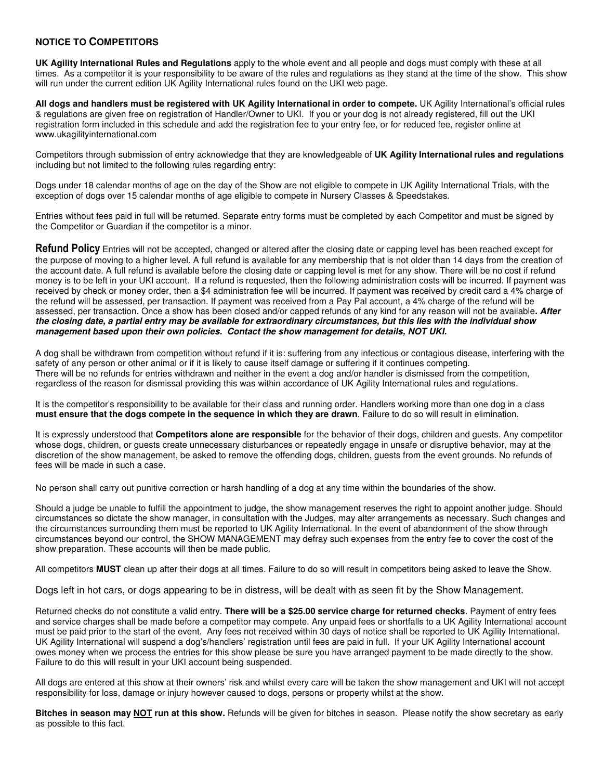#### **NOTICE TO COMPETITORS**

**UK Agility International Rules and Regulations** apply to the whole event and all people and dogs must comply with these at all times. As a competitor it is your responsibility to be aware of the rules and regulations as they stand at the time of the show. This show will run under the current edition UK Agility International rules found on the UKI web page.

**All dogs and handlers must be registered with UK Agility International in order to compete.** UK Agility International's official rules & regulations are given free on registration of Handler/Owner to UKI. If you or your dog is not already registered, fill out the UKI registration form included in this schedule and add the registration fee to your entry fee, or for reduced fee, register online at www.ukagilityinternational.com

Competitors through submission of entry acknowledge that they are knowledgeable of **UK Agility Internationalrules and regulations** including but not limited to the following rules regarding entry:

Dogs under 18 calendar months of age on the day of the Show are not eligible to compete in UK Agility International Trials, with the exception of dogs over 15 calendar months of age eligible to compete in Nursery Classes & Speedstakes.

Entries without fees paid in full will be returned. Separate entry forms must be completed by each Competitor and must be signed by the Competitor or Guardian if the competitor is a minor.

**Refund Policy** Entries will not be accepted, changed or altered after the closing date or capping level has been reached except for the purpose of moving to a higher level. A full refund is available for any membership that is not older than 14 days from the creation of the account date. A full refund is available before the closing date or capping level is met for any show. There will be no cost if refund money is to be left in your UKI account. If a refund is requested, then the following administration costs will be incurred. If payment was received by check or money order, then a \$4 administration fee will be incurred. If payment was received by credit card a 4% charge of the refund will be assessed, per transaction. If payment was received from a Pay Pal account, a 4% charge of the refund will be assessed, per transaction. Once a show has been closed and/or capped refunds of any kind for any reason will not be available**. After the closing date, a partial entry may be available for extraordinary circumstances, but this lies with the individual show management based upon their own policies. Contact the show management for details, NOT UKI.** 

A dog shall be withdrawn from competition without refund if it is: suffering from any infectious or contagious disease, interfering with the safety of any person or other animal or if it is likely to cause itself damage or suffering if it continues competing. There will be no refunds for entries withdrawn and neither in the event a dog and/or handler is dismissed from the competition, regardless of the reason for dismissal providing this was within accordance of UK Agility International rules and regulations.

It is the competitor's responsibility to be available for their class and running order. Handlers working more than one dog in a class **must ensure that the dogs compete in the sequence in which they are drawn**. Failure to do so will result in elimination.

It is expressly understood that **Competitors alone are responsible** for the behavior of their dogs, children and guests. Any competitor whose dogs, children, or guests create unnecessary disturbances or repeatedly engage in unsafe or disruptive behavior, may at the discretion of the show management, be asked to remove the offending dogs, children, guests from the event grounds. No refunds of fees will be made in such a case.

No person shall carry out punitive correction or harsh handling of a dog at any time within the boundaries of the show.

Should a judge be unable to fulfill the appointment to judge, the show management reserves the right to appoint another judge. Should circumstances so dictate the show manager, in consultation with the Judges, may alter arrangements as necessary. Such changes and the circumstances surrounding them must be reported to UK Agility International. In the event of abandonment of the show through circumstances beyond our control, the SHOW MANAGEMENT may defray such expenses from the entry fee to cover the cost of the show preparation. These accounts will then be made public.

All competitors **MUST** clean up after their dogs at all times. Failure to do so will result in competitors being asked to leave the Show.

Dogs left in hot cars, or dogs appearing to be in distress, will be dealt with as seen fit by the Show Management.

Returned checks do not constitute a valid entry. **There will be a \$25.00 service charge for returned checks**. Payment of entry fees and service charges shall be made before a competitor may compete. Any unpaid fees or shortfalls to a UK Agility International account must be paid prior to the start of the event. Any fees not received within 30 days of notice shall be reported to UK Agility International. UK Agility International will suspend a dog's/handlers' registration until fees are paid in full. If your UK Agility International account owes money when we process the entries for this show please be sure you have arranged payment to be made directly to the show. Failure to do this will result in your UKI account being suspended.

All dogs are entered at this show at their owners' risk and whilst every care will be taken the show management and UKI will not accept responsibility for loss, damage or injury however caused to dogs, persons or property whilst at the show.

**Bitches in season may NOT run at this show.** Refunds will be given for bitches in season. Please notify the show secretary as early as possible to this fact.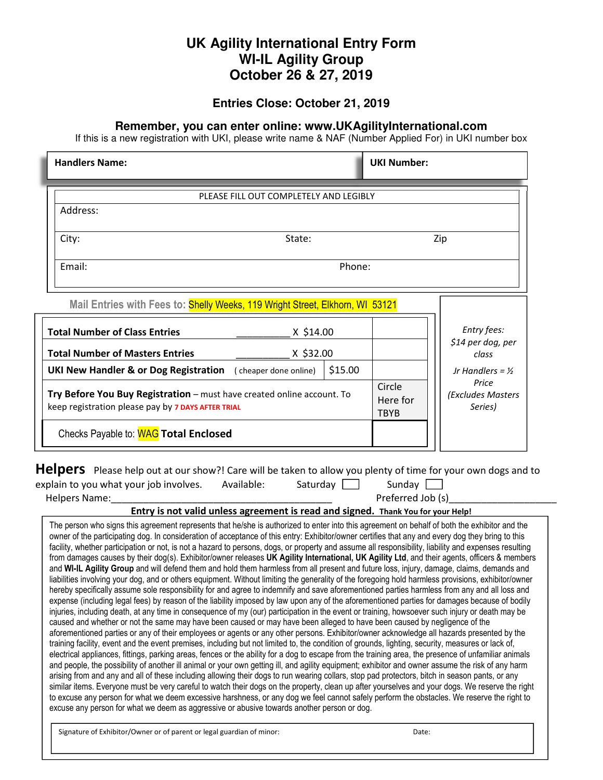## **UK Agility International Entry Form WI-IL Agility Group October 26 & 27, 2019**

#### **Entries Close: October 21, 2019**

#### **Remember, you can enter online: www.UKAgilityInternational.com**

If this is a new registration with UKI, please write name & NAF (Number Applied For) in UKI number box

| <b>Handlers Name:</b>                                                                                                                                                                                                                                                                                                                                                                                                                                                                                                                                                                                                                                                                                                                                                                                                                                                                                                                                                                                                                                                                                                                                                                                                                                                                                                                                                                                                                                                                                                                                                                                                                                                                                                                                                                                                                                                                                                                                                                                                                             |                                                                                                                    | <b>UKI Number:</b>                    |                             |
|---------------------------------------------------------------------------------------------------------------------------------------------------------------------------------------------------------------------------------------------------------------------------------------------------------------------------------------------------------------------------------------------------------------------------------------------------------------------------------------------------------------------------------------------------------------------------------------------------------------------------------------------------------------------------------------------------------------------------------------------------------------------------------------------------------------------------------------------------------------------------------------------------------------------------------------------------------------------------------------------------------------------------------------------------------------------------------------------------------------------------------------------------------------------------------------------------------------------------------------------------------------------------------------------------------------------------------------------------------------------------------------------------------------------------------------------------------------------------------------------------------------------------------------------------------------------------------------------------------------------------------------------------------------------------------------------------------------------------------------------------------------------------------------------------------------------------------------------------------------------------------------------------------------------------------------------------------------------------------------------------------------------------------------------------|--------------------------------------------------------------------------------------------------------------------|---------------------------------------|-----------------------------|
|                                                                                                                                                                                                                                                                                                                                                                                                                                                                                                                                                                                                                                                                                                                                                                                                                                                                                                                                                                                                                                                                                                                                                                                                                                                                                                                                                                                                                                                                                                                                                                                                                                                                                                                                                                                                                                                                                                                                                                                                                                                   | PLEASE FILL OUT COMPLETELY AND LEGIBLY                                                                             |                                       |                             |
| Address:                                                                                                                                                                                                                                                                                                                                                                                                                                                                                                                                                                                                                                                                                                                                                                                                                                                                                                                                                                                                                                                                                                                                                                                                                                                                                                                                                                                                                                                                                                                                                                                                                                                                                                                                                                                                                                                                                                                                                                                                                                          |                                                                                                                    |                                       |                             |
| City:                                                                                                                                                                                                                                                                                                                                                                                                                                                                                                                                                                                                                                                                                                                                                                                                                                                                                                                                                                                                                                                                                                                                                                                                                                                                                                                                                                                                                                                                                                                                                                                                                                                                                                                                                                                                                                                                                                                                                                                                                                             | State:                                                                                                             |                                       | Zip                         |
| Email:                                                                                                                                                                                                                                                                                                                                                                                                                                                                                                                                                                                                                                                                                                                                                                                                                                                                                                                                                                                                                                                                                                                                                                                                                                                                                                                                                                                                                                                                                                                                                                                                                                                                                                                                                                                                                                                                                                                                                                                                                                            | Phone:                                                                                                             |                                       |                             |
|                                                                                                                                                                                                                                                                                                                                                                                                                                                                                                                                                                                                                                                                                                                                                                                                                                                                                                                                                                                                                                                                                                                                                                                                                                                                                                                                                                                                                                                                                                                                                                                                                                                                                                                                                                                                                                                                                                                                                                                                                                                   |                                                                                                                    |                                       |                             |
| Mail Entries with Fees to: Shelly Weeks, 119 Wright Street, Elkhorn, WI 53121                                                                                                                                                                                                                                                                                                                                                                                                                                                                                                                                                                                                                                                                                                                                                                                                                                                                                                                                                                                                                                                                                                                                                                                                                                                                                                                                                                                                                                                                                                                                                                                                                                                                                                                                                                                                                                                                                                                                                                     |                                                                                                                    |                                       |                             |
| <b>Total Number of Class Entries</b>                                                                                                                                                                                                                                                                                                                                                                                                                                                                                                                                                                                                                                                                                                                                                                                                                                                                                                                                                                                                                                                                                                                                                                                                                                                                                                                                                                                                                                                                                                                                                                                                                                                                                                                                                                                                                                                                                                                                                                                                              | X \$14.00                                                                                                          |                                       | Entry fees:                 |
| <b>Total Number of Masters Entries</b>                                                                                                                                                                                                                                                                                                                                                                                                                                                                                                                                                                                                                                                                                                                                                                                                                                                                                                                                                                                                                                                                                                                                                                                                                                                                                                                                                                                                                                                                                                                                                                                                                                                                                                                                                                                                                                                                                                                                                                                                            | X \$32.00                                                                                                          |                                       | \$14 per dog, per<br>class  |
| <b>UKI New Handler &amp; or Dog Registration</b> (cheaper done online)                                                                                                                                                                                                                                                                                                                                                                                                                                                                                                                                                                                                                                                                                                                                                                                                                                                                                                                                                                                                                                                                                                                                                                                                                                                                                                                                                                                                                                                                                                                                                                                                                                                                                                                                                                                                                                                                                                                                                                            | \$15.00                                                                                                            |                                       | Jr Handlers = $\frac{1}{2}$ |
| Try Before You Buy Registration - must have created online account. To<br>keep registration please pay by 7 DAYS AFTER TRIAL                                                                                                                                                                                                                                                                                                                                                                                                                                                                                                                                                                                                                                                                                                                                                                                                                                                                                                                                                                                                                                                                                                                                                                                                                                                                                                                                                                                                                                                                                                                                                                                                                                                                                                                                                                                                                                                                                                                      | Circle<br>Here for<br><b>TBYB</b>                                                                                  | Price<br>(Excludes Masters<br>Series) |                             |
| Checks Payable to: <b>WAG</b> Total Enclosed                                                                                                                                                                                                                                                                                                                                                                                                                                                                                                                                                                                                                                                                                                                                                                                                                                                                                                                                                                                                                                                                                                                                                                                                                                                                                                                                                                                                                                                                                                                                                                                                                                                                                                                                                                                                                                                                                                                                                                                                      |                                                                                                                    |                                       |                             |
| Helpers Please help out at our show?! Care will be taken to allow you plenty of time for your own dogs and to<br>Available:<br>explain to you what your job involves.<br>Helpers Name:<br>The person who signs this agreement represents that he/she is authorized to enter into this agreement on behalf of both the exhibitor and the<br>owner of the participating dog. In consideration of acceptance of this entry: Exhibitor/owner certifies that any and every dog they bring to this<br>facility, whether participation or not, is not a hazard to persons, dogs, or property and assume all responsibility, liability and expenses resulting<br>from damages causes by their dog(s). Exhibitor/owner releases UK Agility International, UK Agility Ltd, and their agents, officers & members                                                                                                                                                                                                                                                                                                                                                                                                                                                                                                                                                                                                                                                                                                                                                                                                                                                                                                                                                                                                                                                                                                                                                                                                                                             | Saturday $\boxed{\phantom{a}}$<br>Entry is not valid unless agreement is read and signed. Thank You for your Help! | Sunday [<br>Preferred Job (s)         |                             |
| and WI-IL Agility Group and will defend them and hold them harmless from all present and future loss, injury, damage, claims, demands and<br>liabilities involving your dog, and or others equipment. Without limiting the generality of the foregoing hold harmless provisions, exhibitor/owner<br>hereby specifically assume sole responsibility for and agree to indemnify and save aforementioned parties harmless from any and all loss and<br>expense (including legal fees) by reason of the liability imposed by law upon any of the aforementioned parties for damages because of bodily<br>injuries, including death, at any time in consequence of my (our) participation in the event or training, howsoever such injury or death may be<br>caused and whether or not the same may have been caused or may have been alleged to have been caused by negligence of the<br>aforementioned parties or any of their employees or agents or any other persons. Exhibitor/owner acknowledge all hazards presented by the<br>training facility, event and the event premises, including but not limited to, the condition of grounds, lighting, security, measures or lack of,<br>electrical appliances, fittings, parking areas, fences or the ability for a dog to escape from the training area, the presence of unfamiliar animals<br>and people, the possibility of another ill animal or your own getting ill, and agility equipment; exhibitor and owner assume the risk of any harm<br>arising from and any and all of these including allowing their dogs to run wearing collars, stop pad protectors, bitch in season pants, or any<br>similar items. Everyone must be very careful to watch their dogs on the property, clean up after yourselves and your dogs. We reserve the right<br>to excuse any person for what we deem excessive harshness, or any dog we feel cannot safely perform the obstacles. We reserve the right to<br>excuse any person for what we deem as aggressive or abusive towards another person or dog. |                                                                                                                    |                                       |                             |
| Signature of Exhibitor/Owner or of parent or legal guardian of minor:                                                                                                                                                                                                                                                                                                                                                                                                                                                                                                                                                                                                                                                                                                                                                                                                                                                                                                                                                                                                                                                                                                                                                                                                                                                                                                                                                                                                                                                                                                                                                                                                                                                                                                                                                                                                                                                                                                                                                                             |                                                                                                                    | Date:                                 |                             |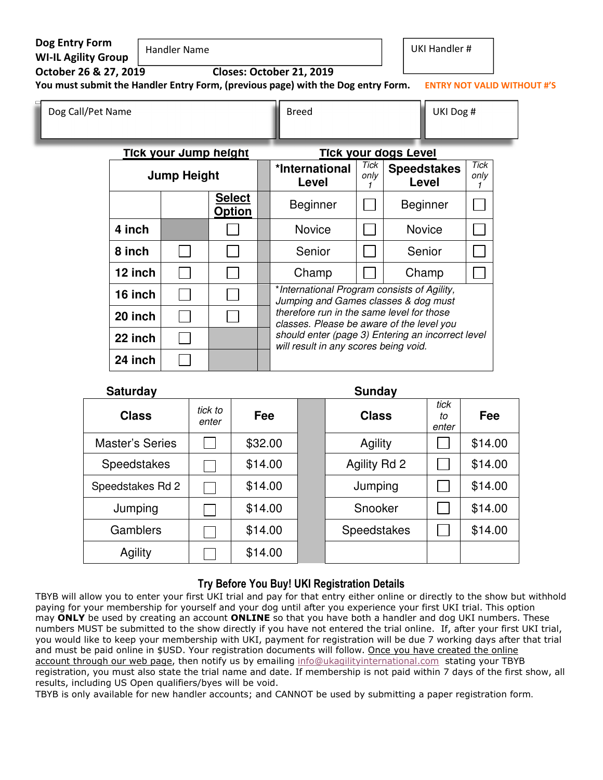| Dog Entry Form<br><b>WI-IL Agility Group</b><br>October 26 & 27, 2019 |                    | <b>Handler Name</b>                                                                 |                                | Closes: October 21, 2019<br>You must submit the Handler Entry Form, (previous page) with the Dog entry Form. |              | <b>UKI Handler #</b>                              |                     | <b>ENTRY NOT VALID WITHOUT #'S</b> |
|-----------------------------------------------------------------------|--------------------|-------------------------------------------------------------------------------------|--------------------------------|--------------------------------------------------------------------------------------------------------------|--------------|---------------------------------------------------|---------------------|------------------------------------|
| Dog Call/Pet Name                                                     |                    |                                                                                     |                                | <b>Breed</b>                                                                                                 |              | UKI Dog #                                         |                     |                                    |
|                                                                       |                    | <u>Tick your Jump height</u>                                                        |                                |                                                                                                              |              | <b>Tick your dogs Level</b>                       |                     |                                    |
|                                                                       | <b>Jump Height</b> |                                                                                     |                                | *International<br>Level                                                                                      | Tick<br>only | <b>Speedstakes</b><br>Level                       | <b>Tick</b><br>only |                                    |
|                                                                       |                    |                                                                                     | <b>Select</b><br><b>Option</b> | <b>Beginner</b>                                                                                              |              | <b>Beginner</b>                                   |                     |                                    |
|                                                                       | 4 inch             |                                                                                     |                                | <b>Novice</b>                                                                                                |              | <b>Novice</b>                                     |                     |                                    |
|                                                                       | 8 inch             |                                                                                     |                                | Senior                                                                                                       |              | Senior                                            |                     |                                    |
|                                                                       | 12 inch            |                                                                                     |                                | Champ                                                                                                        |              | Champ                                             |                     |                                    |
| 16 inch                                                               |                    | *International Program consists of Agility,<br>Jumping and Games classes & dog must |                                |                                                                                                              |              |                                                   |                     |                                    |
|                                                                       | 20 inch            |                                                                                     |                                | therefore run in the same level for those<br>classes. Please be aware of the level you                       |              |                                                   |                     |                                    |
|                                                                       | 22 inch            |                                                                                     |                                | will result in any scores being void.                                                                        |              | should enter (page 3) Entering an incorrect level |                     |                                    |
|                                                                       | 24 inch            |                                                                                     |                                |                                                                                                              |              |                                                   |                     |                                    |

#### **Saturday Sunday Sunday Sunday Sunday Sunday**

| <b>Class</b>           | tick to<br>enter | Fee     | <b>Class</b>        | tick<br>tο<br>enter | Fee     |
|------------------------|------------------|---------|---------------------|---------------------|---------|
| <b>Master's Series</b> |                  | \$32.00 | Agility             |                     | \$14.00 |
| Speedstakes            |                  | \$14.00 | <b>Agility Rd 2</b> |                     | \$14.00 |
| Speedstakes Rd 2       |                  | \$14.00 | Jumping             |                     | \$14.00 |
| Jumping                |                  | \$14.00 | Snooker             |                     | \$14.00 |
| Gamblers               |                  | \$14.00 | Speedstakes         |                     | \$14.00 |
| Agility                |                  | \$14.00 |                     |                     |         |

#### **Try Before You Buy! UKI Registration Details**

TBYB will allow you to enter your first UKI trial and pay for that entry either online or directly to the show but withhold paying for your membership for yourself and your dog until after you experience your first UKI trial. This option may **ONLY** be used by creating an account **ONLINE** so that you have both a handler and dog UKI numbers. These numbers MUST be submitted to the show directly if you have not entered the trial online. If, after your first UKI trial, you would like to keep your membership with UKI, payment for registration will be due 7 working days after that trial and must be paid online in \$USD. Your registration documents will follow. Once you have created the online account through our web page, then notify us by emailing info@ukagilityinternational.com stating your TBYB registration, you must also state the trial name and date. If membership is not paid within 7 days of the first show, all results, including US Open qualifiers/byes will be void.

TBYB is only available for new handler accounts; and CANNOT be used by submitting a paper registration form.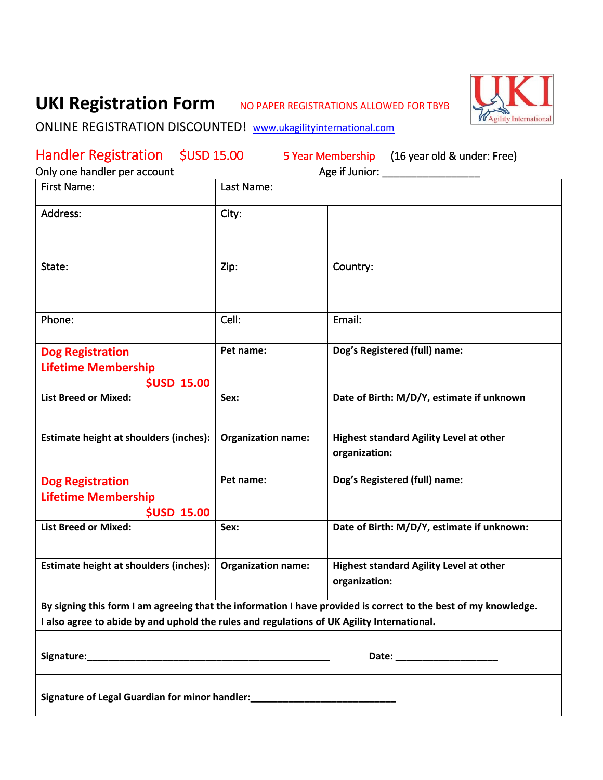# UKI Registration Form NO PAPER REGISTRATIONS ALLOWED FOR TBYB



# ONLINE REGISTRATION DISCOUNTED! www.ukagilityinternational.com

| Handler Registration \$USD 15.00                                                           |                           | 5 Year Membership (16 year old & under: Free)                                                                   |
|--------------------------------------------------------------------------------------------|---------------------------|-----------------------------------------------------------------------------------------------------------------|
| Only one handler per account                                                               |                           | Age if Junior:                                                                                                  |
| <b>First Name:</b>                                                                         | Last Name:                |                                                                                                                 |
| Address:                                                                                   | City:                     |                                                                                                                 |
| State:                                                                                     | Zip:                      | Country:                                                                                                        |
| Phone:                                                                                     | Cell:                     | Email:                                                                                                          |
| <b>Dog Registration</b><br><b>Lifetime Membership</b><br><b>\$USD 15.00</b>                | Pet name:                 | Dog's Registered (full) name:                                                                                   |
| <b>List Breed or Mixed:</b>                                                                | Sex:                      | Date of Birth: M/D/Y, estimate if unknown                                                                       |
| Estimate height at shoulders (inches):                                                     | <b>Organization name:</b> | <b>Highest standard Agility Level at other</b><br>organization:                                                 |
| <b>Dog Registration</b><br><b>Lifetime Membership</b><br><b>\$USD 15.00</b>                | Pet name:                 | Dog's Registered (full) name:                                                                                   |
| <b>List Breed or Mixed:</b>                                                                | Sex:                      | Date of Birth: M/D/Y, estimate if unknown:                                                                      |
| Estimate height at shoulders (inches):                                                     | <b>Organization name:</b> | <b>Highest standard Agility Level at other</b><br>organization:                                                 |
| I also agree to abide by and uphold the rules and regulations of UK Agility International. |                           | By signing this form I am agreeing that the information I have provided is correct to the best of my knowledge. |
|                                                                                            |                           |                                                                                                                 |
|                                                                                            |                           | Date: ______________________                                                                                    |
| Signature of Legal Guardian for minor handler: _________________________________           |                           |                                                                                                                 |